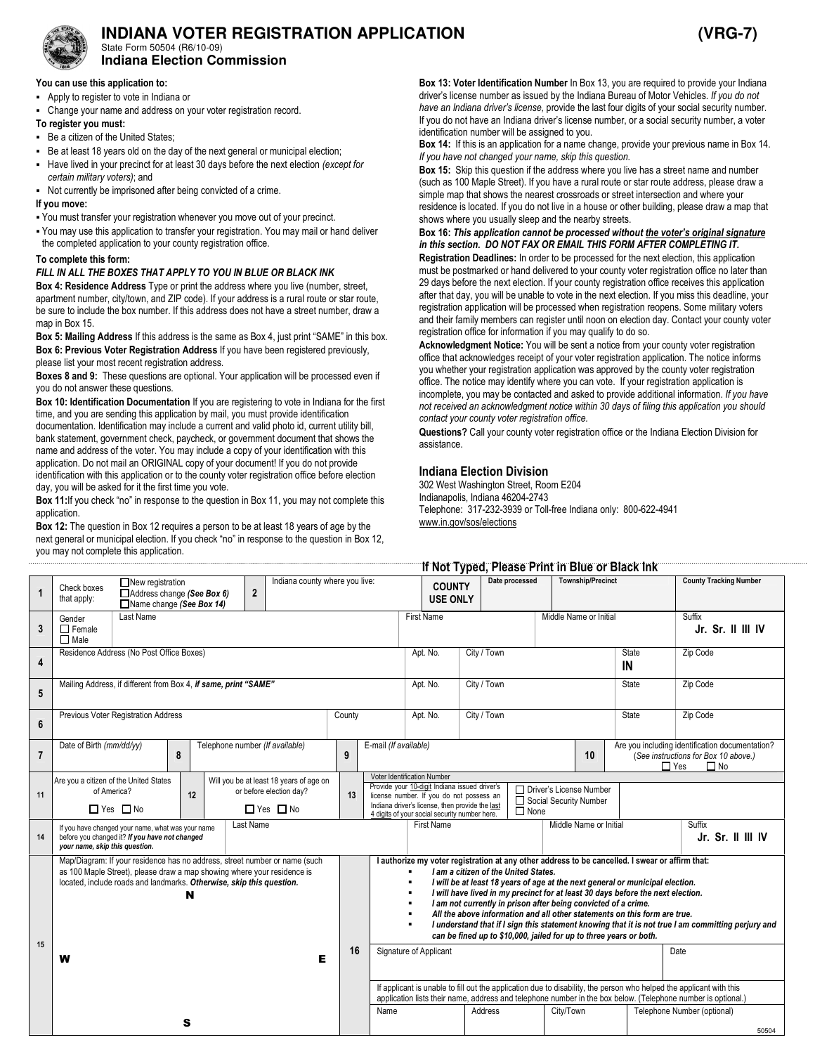

# **INDIANA VOTER REGISTRATION APPLICATION (VRG-7)**

State Form 50504 (R6/10-09) **Indiana Election Commission** 

## You can use this application to:

- Apply to register to vote in Indiana or
- Change your name and address on your voter registration record.

#### To register you must:

- Be a citizen of the United States;
- Be at least 18 years old on the day of the next general or municipal election;
- Have lived in your precinct for at least 30 days before the next election (except for
- certain military voters); and
- Not currently be imprisoned after being convicted of a crime.

#### If you move:

- You must transfer your registration whenever you move out of your precinct.
- You may use this application to transfer your registration. You may mail or hand deliver the completed application to your county registration office.

#### To complete this form:

#### FILL IN ALL THE BOXES THAT APPLY TO YOU IN BLUE OR BLACK INK

Box 4: Residence Address Type or print the address where you live (number, street, apartment number, city/town, and ZIP code). If your address is a rural route or star route, be sure to include the box number. If this address does not have a street number, draw a map in Box 15.

Box 5: Mailing Address If this address is the same as Box 4, just print "SAME" in this box. Box 6: Previous Voter Registration Address If you have been registered previously, please list your most recent registration address.

Boxes 8 and 9: These questions are optional. Your application will be processed even if you do not answer these questions.

Box 10: Identification Documentation If you are registering to vote in Indiana for the first time, and you are sending this application by mail, you must provide identification documentation. Identification may include a current and valid photo id, current utility bill, bank statement, government check, paycheck, or government document that shows the name and address of the voter. You may include a copy of your identification with this application. Do not mail an ORIGINAL copy of your document! If you do not provide identification with this application or to the county voter registration office before election day, you will be asked for it the first time you vote.

Box 11: If you check "no" in response to the question in Box 11, you may not complete this application.

Box 12: The question in Box 12 requires a person to be at least 18 years of age by the next general or municipal election. If you check "no" in response to the question in Box 12, you may not complete this application.

Box 13: Voter Identification Number In Box 13, you are required to provide your Indiana driver's license number as issued by the Indiana Bureau of Motor Vehicles. If you do not have an Indiana driver's license, provide the last four digits of your social security number. If you do not have an Indiana driver's license number, or a social security number, a voter identification number will be assigned to you.

Box 14: If this is an application for a name change, provide your previous name in Box 14. If you have not changed your name, skip this question.

Box 15: Skip this question if the address where you live has a street name and number (such as 100 Maple Street). If you have a rural route or star route address, please draw a simple map that shows the nearest crossroads or street intersection and where your residence is located. If you do not live in a house or other building, please draw a map that shows where you usually sleep and the nearby streets.

#### Box 16: This application cannot be processed without the voter's original signature in this section. DO NOT FAX OR EMAIL THIS FORM AFTER COMPLETING IT.

Registration Deadlines: In order to be processed for the next election, this application must be postmarked or hand delivered to your county voter registration office no later than 29 days before the next election. If your county registration office receives this application after that day, you will be unable to vote in the next election. If you miss this deadline, your registration application will be processed when registration reopens. Some military voters and their family members can register until noon on election day. Contact your county voter registration office for information if you may qualify to do so.

Acknowledgment Notice: You will be sent a notice from your county voter registration office that acknowledges receipt of your voter registration application. The notice informs you whether your registration application was approved by the county voter registration office. The notice may identify where you can vote. If your registration application is incomplete, you may be contacted and asked to provide additional information. If you have not received an acknowledgment notice within 30 days of filing this application you should contact your county voter registration office.

Questions? Call your county voter registration office or the Indiana Election Division for assistance.

### Indiana Election Division

302 West Washington Street, Room E204 Indianapolis, Indiana 46204-2743 Telephone: 317-232-3939 or Toll-free Indiana only: 800-622-4941 www.in.gov/sos/elections

If Not Typed, Please Print in Blue or Black Ink

|                | If NOT Typed, Please Print in Blue or Black Ink                                                                                                                                                                                              |   |                                 |  |                         |                                |             |                       |                                                                                                                                                                                                                                                                                                    |                                                                                                                                                                                                                                                                                                                                                                                                                                                                                                                                                                                                                                        |              |             |                             |                          |              |            |                                                                                                      |                               |  |
|----------------|----------------------------------------------------------------------------------------------------------------------------------------------------------------------------------------------------------------------------------------------|---|---------------------------------|--|-------------------------|--------------------------------|-------------|-----------------------|----------------------------------------------------------------------------------------------------------------------------------------------------------------------------------------------------------------------------------------------------------------------------------------------------|----------------------------------------------------------------------------------------------------------------------------------------------------------------------------------------------------------------------------------------------------------------------------------------------------------------------------------------------------------------------------------------------------------------------------------------------------------------------------------------------------------------------------------------------------------------------------------------------------------------------------------------|--------------|-------------|-----------------------------|--------------------------|--------------|------------|------------------------------------------------------------------------------------------------------|-------------------------------|--|
| $\mathbf{1}$   | $\Box$ New registration<br>Check boxes<br>$\overline{2}$<br>Address change (See Box 6)<br>that apply:<br>■Name change (See Box 14)                                                                                                           |   |                                 |  |                         | Indiana county where you live: |             |                       |                                                                                                                                                                                                                                                                                                    | Date processed<br><b>COUNTY</b><br><b>USE ONLY</b>                                                                                                                                                                                                                                                                                                                                                                                                                                                                                                                                                                                     |              |             |                             | <b>Township/Precinct</b> |              |            |                                                                                                      | <b>County Tracking Number</b> |  |
| 3              | Last Name<br>Gender<br>$\Box$ Female<br>$\Box$ Male                                                                                                                                                                                          |   |                                 |  | <b>First Name</b>       |                                |             |                       | Middle Name or Initial                                                                                                                                                                                                                                                                             |                                                                                                                                                                                                                                                                                                                                                                                                                                                                                                                                                                                                                                        |              |             | Suffix<br>Jr. Sr. II III IV |                          |              |            |                                                                                                      |                               |  |
| 4              | Residence Address (No Post Office Boxes)                                                                                                                                                                                                     |   |                                 |  | City / Town<br>Apt. No. |                                |             |                       | <b>State</b><br>IN                                                                                                                                                                                                                                                                                 |                                                                                                                                                                                                                                                                                                                                                                                                                                                                                                                                                                                                                                        |              |             | Zip Code                    |                          |              |            |                                                                                                      |                               |  |
| 5              | Mailing Address, if different from Box 4, if same, print "SAME"                                                                                                                                                                              |   |                                 |  | Apt. No.                |                                | City / Town |                       |                                                                                                                                                                                                                                                                                                    |                                                                                                                                                                                                                                                                                                                                                                                                                                                                                                                                                                                                                                        | <b>State</b> |             | Zip Code                    |                          |              |            |                                                                                                      |                               |  |
| 6              | Previous Voter Registration Address<br>County                                                                                                                                                                                                |   |                                 |  |                         |                                |             |                       |                                                                                                                                                                                                                                                                                                    | Apt. No.                                                                                                                                                                                                                                                                                                                                                                                                                                                                                                                                                                                                                               |              | City / Town |                             |                          | <b>State</b> |            |                                                                                                      | Zip Code                      |  |
| $\overline{7}$ | Date of Birth (mm/dd/yy)                                                                                                                                                                                                                     | 8 | Telephone number (If available) |  |                         |                                |             | E-mail (If available) |                                                                                                                                                                                                                                                                                                    | 10                                                                                                                                                                                                                                                                                                                                                                                                                                                                                                                                                                                                                                     |              |             |                             |                          |              | $\Box$ Yes | Are you including identification documentation?<br>(See instructions for Box 10 above.)<br>$\Box$ No |                               |  |
| 11             | Are you a citizen of the United States<br>Will you be at least 18 years of age on<br>or before election day?<br>of America?<br>12<br>$\Box$ Yes $\Box$ No<br>$\Box$ Yes $\Box$ No                                                            |   |                                 |  |                         |                                |             | 13                    | Voter Identification Number<br>Provide your 10-digit Indiana issued driver's<br>□ Driver's License Number<br>license number. If you do not possess an<br>Social Security Number<br>Indiana driver's license, then provide the last<br>$\Box$ None<br>4 digits of your social security number here. |                                                                                                                                                                                                                                                                                                                                                                                                                                                                                                                                                                                                                                        |              |             |                             |                          |              |            |                                                                                                      |                               |  |
| 14             | Last Name<br>If you have changed your name, what was your name<br>before you changed it? If you have not changed<br>your name, skip this question.                                                                                           |   |                                 |  |                         |                                |             |                       |                                                                                                                                                                                                                                                                                                    | <b>First Name</b>                                                                                                                                                                                                                                                                                                                                                                                                                                                                                                                                                                                                                      |              |             |                             | Middle Name or Initial   |              |            |                                                                                                      | Suffix<br>Jr. Sr. II III IV   |  |
| 15             | Map/Diagram: If your residence has no address, street number or name (such<br>as 100 Maple Street), please draw a map showing where your residence is<br>located, include roads and landmarks. Otherwise, skip this question.<br>N<br>Е<br>W |   |                                 |  |                         |                                |             |                       | ٠<br>٠<br>٠<br>٠<br>٠                                                                                                                                                                                                                                                                              | I authorize my voter registration at any other address to be cancelled. I swear or affirm that:<br>I am a citizen of the United States.<br>I will be at least 18 years of age at the next general or municipal election.<br>I will have lived in my precinct for at least 30 days before the next election.<br>I am not currently in prison after being convicted of a crime.<br>All the above information and all other statements on this form are true.<br>I understand that if I sign this statement knowing that it is not true I am committing perjury and<br>can be fined up to \$10,000, jailed for up to three years or both. |              |             |                             |                          |              |            |                                                                                                      |                               |  |
|                |                                                                                                                                                                                                                                              |   |                                 |  |                         |                                |             | 16                    | Date<br>Signature of Applicant                                                                                                                                                                                                                                                                     |                                                                                                                                                                                                                                                                                                                                                                                                                                                                                                                                                                                                                                        |              |             |                             |                          |              |            |                                                                                                      |                               |  |
|                |                                                                                                                                                                                                                                              |   |                                 |  |                         |                                |             |                       |                                                                                                                                                                                                                                                                                                    | If applicant is unable to fill out the application due to disability, the person who helped the applicant with this<br>application lists their name, address and telephone number in the box below. (Telephone number is optional.)                                                                                                                                                                                                                                                                                                                                                                                                    |              |             |                             |                          |              |            |                                                                                                      |                               |  |
|                | s                                                                                                                                                                                                                                            |   |                                 |  |                         |                                |             | Name                  |                                                                                                                                                                                                                                                                                                    |                                                                                                                                                                                                                                                                                                                                                                                                                                                                                                                                                                                                                                        |              | Address     |                             | City/Town                |              |            | Telephone Number (optional)<br>50504                                                                 |                               |  |